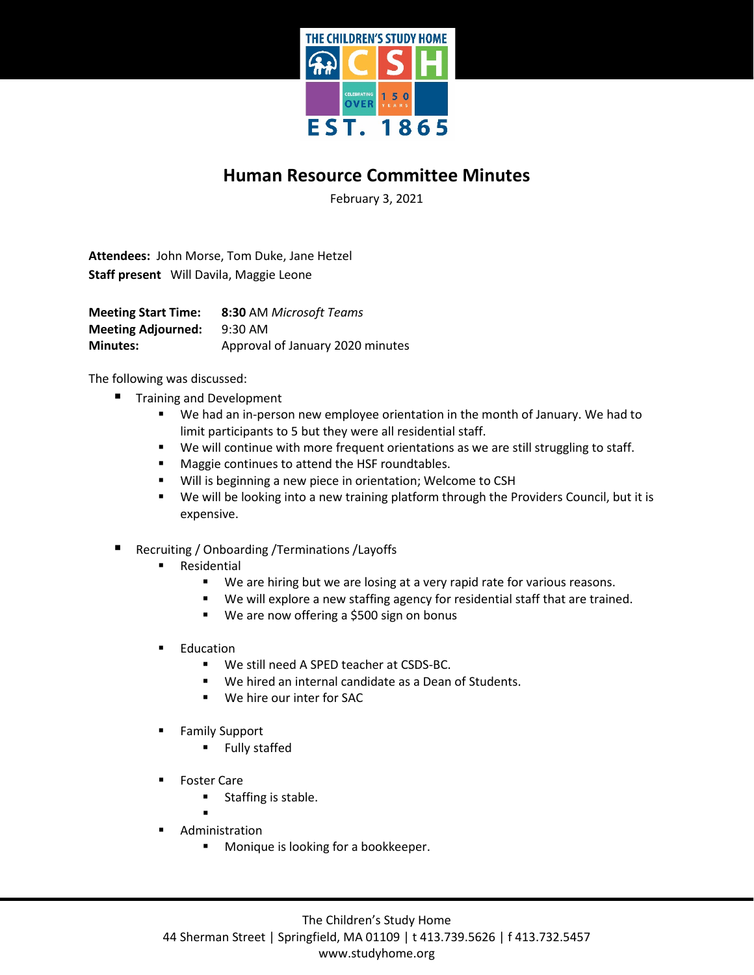

## **Human Resource Committee Minutes**

February 3, 2021

**Attendees:** John Morse, Tom Duke, Jane Hetzel **Staff present** Will Davila, Maggie Leone

**Meeting Start Time: 8:30** AM *Microsoft Teams* **Meeting Adjourned:** 9:30 AM **Minutes:** Approval of January 2020 minutes

The following was discussed:

- **Training and Development** 
	- We had an in-person new employee orientation in the month of January. We had to limit participants to 5 but they were all residential staff.
	- We will continue with more frequent orientations as we are still struggling to staff.
	- **Maggie continues to attend the HSF roundtables.**
	- **Will is beginning a new piece in orientation; Welcome to CSH**
	- We will be looking into a new training platform through the Providers Council, but it is expensive.
- Recruiting / Onboarding /Terminations /Layoffs
	- Residential
		- We are hiring but we are losing at a very rapid rate for various reasons.
		- We will explore a new staffing agency for residential staff that are trained.
		- We are now offering a \$500 sign on bonus
	- **Education** 
		- We still need A SPED teacher at CSDS-BC.
		- We hired an internal candidate as a Dean of Students.
		- We hire our inter for SAC
	- Family Support
		- **Fully staffed**
	- Foster Care
		- **Staffing is stable.**
	- $\blacksquare$ **Administration** 
		- **Monique is looking for a bookkeeper.**